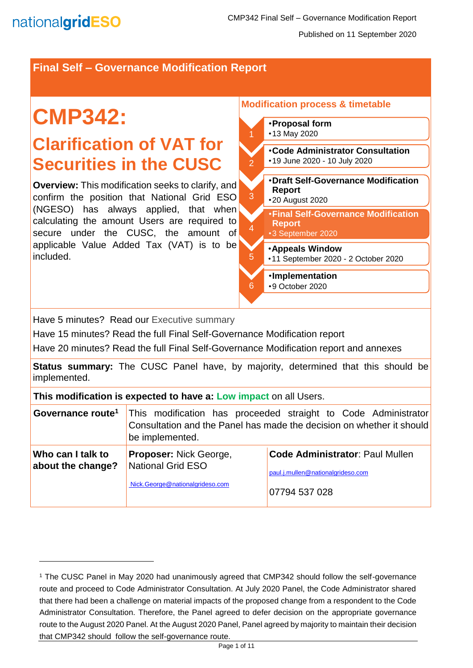l

### **Final Self – Governance Modification Report**

# **CMP342: Clarification of VAT for Securities in the CUSC**

**Overview:** This modification seeks to clarify, and confirm the position that National Grid ESO (NGESO) has always applied, that when calculating the amount Users are required to secure under the CUSC, the amount of applicable Value Added Tax (VAT) is to be included.

#### **Modification process & timetable**

- •**Proposal form** •13 May 2020
- •**Code Administrator Consultation** •19 June 2020 - 10 July 2020
- •**Draft Self-Governance Modification Report** •20 August 2020
- •**Final Self-Governance Modification Report**
	- •3 September 2020

### •**Appeals Window**

- •11 September 2020 2 October 2020
- •**Implementation**
- •9 October 2020

Have 5 minutes? Read our Executive summary

Have 15 minutes? Read the full Final Self-Governance Modification report

Have 20 minutes? Read the full Final Self-Governance Modification report and annexes

**Status summary:** The CUSC Panel have, by majority, determined that this should be implemented.

2

3

4

5

6

**This modification is expected to have a: Low impact** on all Users.

| Governance route <sup>1</sup>          | be implemented.                                                                       | This modification has proceeded straight to Code Administrator<br>Consultation and the Panel has made the decision on whether it should |
|----------------------------------------|---------------------------------------------------------------------------------------|-----------------------------------------------------------------------------------------------------------------------------------------|
| Who can I talk to<br>about the change? | <b>Proposer: Nick George,</b><br>National Grid ESO<br>Nick.George@nationalgrideso.com | <b>Code Administrator: Paul Mullen</b><br>paul.j.mullen@nationalgrideso.com<br>07794 537 028                                            |

<sup>1</sup> The CUSC Panel in May 2020 had unanimously agreed that CMP342 should follow the self-governance route and proceed to Code Administrator Consultation. At July 2020 Panel, the Code Administrator shared that there had been a challenge on material impacts of the proposed change from a respondent to the Code Administrator Consultation. Therefore, the Panel agreed to defer decision on the appropriate governance route to the August 2020 Panel. At the August 2020 Panel, Panel agreed by majority to maintain their decision that CMP342 should follow the self-governance route.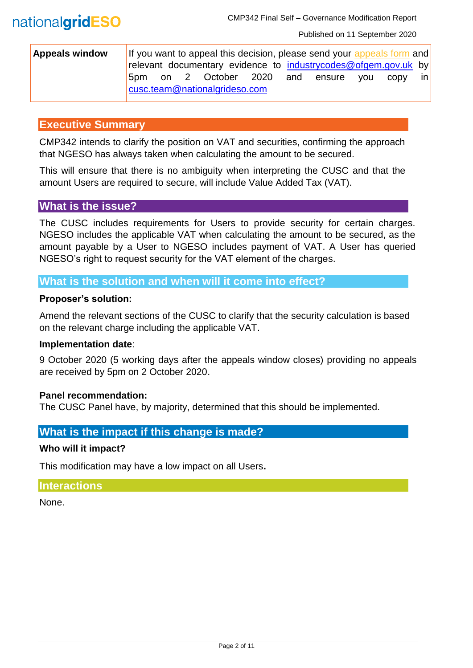| <b>Appeals window</b> |                               | If you want to appeal this decision, please send your appeals form and |  |                   |  |  |            |     |      |       |
|-----------------------|-------------------------------|------------------------------------------------------------------------|--|-------------------|--|--|------------|-----|------|-------|
|                       |                               | relevant documentary evidence to industrycodes@ofgem.gov.uk by         |  |                   |  |  |            |     |      |       |
|                       | 5pm                           |                                                                        |  | on 2 October 2020 |  |  | and ensure | vou | CODV | -in l |
|                       | cusc.team@nationalgrideso.com |                                                                        |  |                   |  |  |            |     |      |       |

### **Executive Summary**

CMP342 intends to clarify the position on VAT and securities, confirming the approach that NGESO has always taken when calculating the amount to be secured.

This will ensure that there is no ambiguity when interpreting the CUSC and that the amount Users are required to secure, will include Value Added Tax (VAT).

### **What is the issue?**

The CUSC includes requirements for Users to provide security for certain charges. NGESO includes the applicable VAT when calculating the amount to be secured, as the amount payable by a User to NGESO includes payment of VAT. A User has queried NGESO's right to request security for the VAT element of the charges.

### **What is the solution and when will it come into effect?**

#### **Proposer's solution:**

Amend the relevant sections of the CUSC to clarify that the security calculation is based on the relevant charge including the applicable VAT.

#### **Implementation date**:

9 October 2020 (5 working days after the appeals window closes) providing no appeals are received by 5pm on 2 October 2020.

#### **Panel recommendation:**

The CUSC Panel have, by majority, determined that this should be implemented.

### **What is the impact if this change is made?**

#### **Who will it impact?**

This modification may have a low impact on all Users**.** 

#### **Interactions**

None.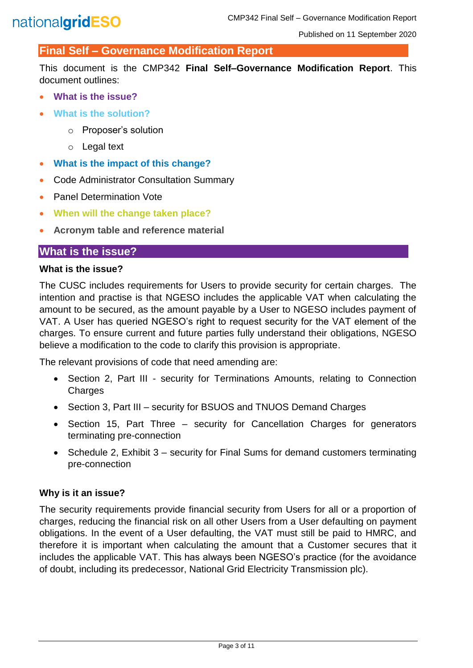### **Final Self – Governance Modification Report**

This document is the CMP342 **Final Self–Governance Modification Report**. This document outlines:

- **What is the issue?**
- **What is the solution?**
	- o Proposer's solution
	- o Legal text
- **What is the impact of this change?**
- Code Administrator Consultation Summary
- Panel Determination Vote
- **When will the change taken place?**
- **Acronym table and reference material**

### **What is the issue?**

#### **What is the issue?**

The CUSC includes requirements for Users to provide security for certain charges. The intention and practise is that NGESO includes the applicable VAT when calculating the amount to be secured, as the amount payable by a User to NGESO includes payment of VAT. A User has queried NGESO's right to request security for the VAT element of the charges. To ensure current and future parties fully understand their obligations, NGESO believe a modification to the code to clarify this provision is appropriate.

The relevant provisions of code that need amending are:

- Section 2, Part III security for Terminations Amounts, relating to Connection **Charges**
- Section 3, Part III security for BSUOS and TNUOS Demand Charges
- Section 15, Part Three security for Cancellation Charges for generators terminating pre-connection
- Schedule 2, Exhibit 3 security for Final Sums for demand customers terminating pre-connection

#### **Why is it an issue?**

The security requirements provide financial security from Users for all or a proportion of charges, reducing the financial risk on all other Users from a User defaulting on payment obligations. In the event of a User defaulting, the VAT must still be paid to HMRC, and therefore it is important when calculating the amount that a Customer secures that it includes the applicable VAT. This has always been NGESO's practice (for the avoidance of doubt, including its predecessor, National Grid Electricity Transmission plc).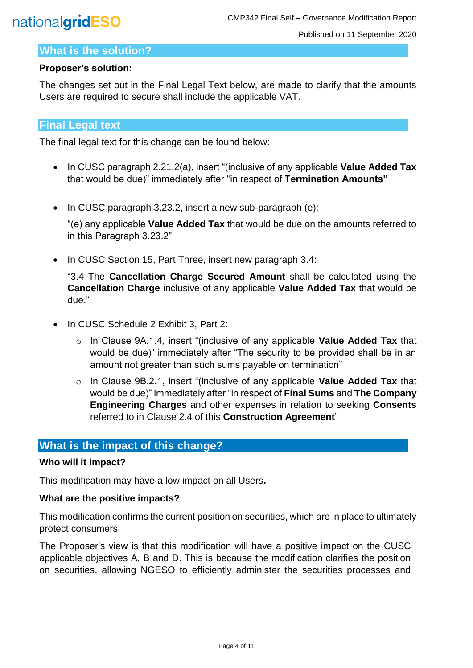### **What is the solution?**

#### **Proposer's solution:**

The changes set out in the Final Legal Text below, are made to clarify that the amounts Users are required to secure shall include the applicable VAT.

### **Final Legal text**

The final legal text for this change can be found below:

- In CUSC paragraph 2.21.2(a), insert "(inclusive of any applicable **Value Added Tax** that would be due)" immediately after "in respect of **Termination Amounts"**
- In CUSC paragraph 3.23.2, insert a new sub-paragraph (e):

"(e) any applicable **Value Added Tax** that would be due on the amounts referred to in this Paragraph 3.23.2"

• In CUSC Section 15, Part Three, insert new paragraph 3.4:

"3.4 The **Cancellation Charge Secured Amount** shall be calculated using the **Cancellation Charge** inclusive of any applicable **Value Added Tax** that would be due."

- In CUSC Schedule 2 Exhibit 3, Part 2:
	- o In Clause 9A.1.4, insert "(inclusive of any applicable **Value Added Tax** that would be due)" immediately after "The security to be provided shall be in an amount not greater than such sums payable on termination"
	- o In Clause 9B.2.1, insert "(inclusive of any applicable **Value Added Tax** that would be due)" immediately after "in respect of **Final Sums** and **The Company Engineering Charges** and other expenses in relation to seeking **Consents**  referred to in Clause 2.4 of this **Construction Agreement**"

### **What is the impact of this change?**

### **Who will it impact?**

This modification may have a low impact on all Users**.** 

#### **What are the positive impacts?**

This modification confirms the current position on securities, which are in place to ultimately protect consumers.

The Proposer's view is that this modification will have a positive impact on the CUSC applicable objectives A, B and D. This is because the modification clarifies the position on securities, allowing NGESO to efficiently administer the securities processes and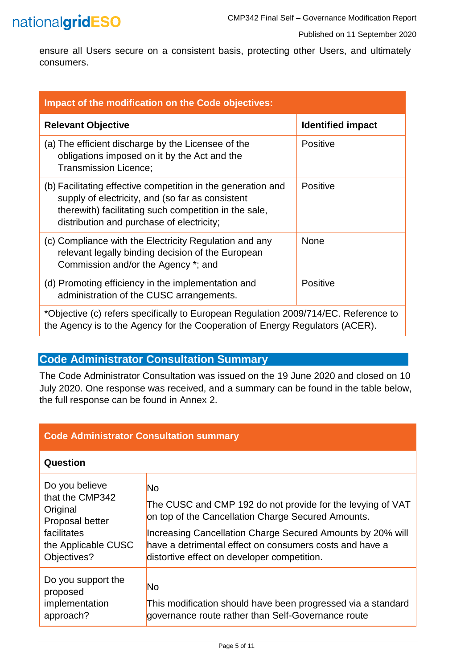## nationalgridESO

Published on 11 September 2020

ensure all Users secure on a consistent basis, protecting other Users, and ultimately consumers.

| Impact of the modification on the Code objectives:                                                                                                                                                                     |                          |  |  |  |  |  |
|------------------------------------------------------------------------------------------------------------------------------------------------------------------------------------------------------------------------|--------------------------|--|--|--|--|--|
| <b>Relevant Objective</b>                                                                                                                                                                                              | <b>Identified impact</b> |  |  |  |  |  |
| (a) The efficient discharge by the Licensee of the<br>obligations imposed on it by the Act and the<br><b>Transmission Licence:</b>                                                                                     | Positive                 |  |  |  |  |  |
| (b) Facilitating effective competition in the generation and<br>supply of electricity, and (so far as consistent<br>therewith) facilitating such competition in the sale,<br>distribution and purchase of electricity; | <b>Positive</b>          |  |  |  |  |  |
| (c) Compliance with the Electricity Regulation and any<br>relevant legally binding decision of the European<br>Commission and/or the Agency *; and                                                                     | <b>None</b>              |  |  |  |  |  |
| (d) Promoting efficiency in the implementation and<br>administration of the CUSC arrangements.                                                                                                                         | Positive                 |  |  |  |  |  |
| *Objective (c) refers specifically to European Regulation 2009/714/EC. Reference to<br>the Agency is to the Agency for the Cooperation of Energy Regulators (ACER).                                                    |                          |  |  |  |  |  |

### **Code Administrator Consultation Summary**

The Code Administrator Consultation was issued on the 19 June 2020 and closed on 10 July 2020. One response was received, and a summary can be found in the table below, the full response can be found in Annex 2.

| <b>Code Administrator Consultation summary</b>                                                                        |                                                                                                                                                                                                                                                                                                       |  |  |  |
|-----------------------------------------------------------------------------------------------------------------------|-------------------------------------------------------------------------------------------------------------------------------------------------------------------------------------------------------------------------------------------------------------------------------------------------------|--|--|--|
| Question                                                                                                              |                                                                                                                                                                                                                                                                                                       |  |  |  |
| Do you believe<br>that the CMP342<br>Original<br>Proposal better<br>facilitates<br>the Applicable CUSC<br>Objectives? | <b>No</b><br>The CUSC and CMP 192 do not provide for the levying of VAT<br>on top of the Cancellation Charge Secured Amounts.<br>Increasing Cancellation Charge Secured Amounts by 20% will<br>have a detrimental effect on consumers costs and have a<br>distortive effect on developer competition. |  |  |  |
| Do you support the<br>proposed<br>implementation<br>approach?                                                         | <b>No</b><br>This modification should have been progressed via a standard<br>governance route rather than Self-Governance route                                                                                                                                                                       |  |  |  |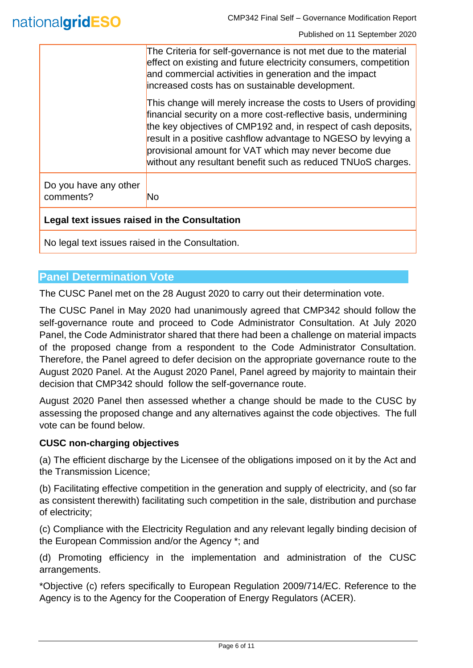|                                              | The Criteria for self-governance is not met due to the material<br>effect on existing and future electricity consumers, competition<br>and commercial activities in generation and the impact                                                                                                                                                                                                   |  |  |
|----------------------------------------------|-------------------------------------------------------------------------------------------------------------------------------------------------------------------------------------------------------------------------------------------------------------------------------------------------------------------------------------------------------------------------------------------------|--|--|
|                                              | increased costs has on sustainable development.                                                                                                                                                                                                                                                                                                                                                 |  |  |
|                                              | This change will merely increase the costs to Users of providing<br>financial security on a more cost-reflective basis, undermining<br>the key objectives of CMP192 and, in respect of cash deposits,<br>result in a positive cashflow advantage to NGESO by levying a<br>provisional amount for VAT which may never become due<br>without any resultant benefit such as reduced TNUoS charges. |  |  |
| Do you have any other<br>comments?           | N <sub>o</sub>                                                                                                                                                                                                                                                                                                                                                                                  |  |  |
| Legal text issues raised in the Consultation |                                                                                                                                                                                                                                                                                                                                                                                                 |  |  |

No legal text issues raised in the Consultation.

### **Panel Determination Vote**

The CUSC Panel met on the 28 August 2020 to carry out their determination vote.

The CUSC Panel in May 2020 had unanimously agreed that CMP342 should follow the self-governance route and proceed to Code Administrator Consultation. At July 2020 Panel, the Code Administrator shared that there had been a challenge on material impacts of the proposed change from a respondent to the Code Administrator Consultation. Therefore, the Panel agreed to defer decision on the appropriate governance route to the August 2020 Panel. At the August 2020 Panel, Panel agreed by majority to maintain their decision that CMP342 should follow the self-governance route.

August 2020 Panel then assessed whether a change should be made to the CUSC by assessing the proposed change and any alternatives against the code objectives. The full vote can be found below.

### **CUSC non-charging objectives**

(a) The efficient discharge by the Licensee of the obligations imposed on it by the Act and the Transmission Licence;

(b) Facilitating effective competition in the generation and supply of electricity, and (so far as consistent therewith) facilitating such competition in the sale, distribution and purchase of electricity;

(c) Compliance with the Electricity Regulation and any relevant legally binding decision of the European Commission and/or the Agency \*; and

(d) Promoting efficiency in the implementation and administration of the CUSC arrangements.

\*Objective (c) refers specifically to European Regulation 2009/714/EC. Reference to the Agency is to the Agency for the Cooperation of Energy Regulators (ACER).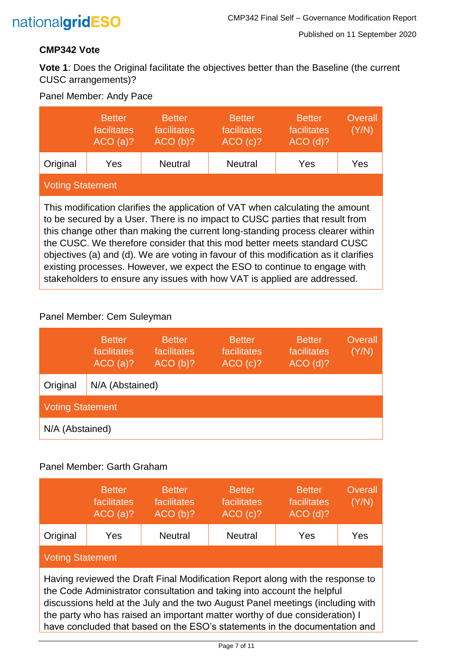

### **CMP342 Vote**

**Vote 1**: Does the Original facilitate the objectives better than the Baseline (the current CUSC arrangements)?

### Panel Member: Andy Pace

|                                                                                                                                                                                                                                                                                                                                                                                                                                                                                                                                                                               | <b>Better</b><br>facilitates<br>ACO(a)? | <b>Better</b><br>facilitates<br>ACO(b)? | <b>Better</b><br>facilitates<br>ACO(c)? | <b>Better</b><br>facilitates<br>$ACO$ (d)? | Overall<br>(Y/N) |
|-------------------------------------------------------------------------------------------------------------------------------------------------------------------------------------------------------------------------------------------------------------------------------------------------------------------------------------------------------------------------------------------------------------------------------------------------------------------------------------------------------------------------------------------------------------------------------|-----------------------------------------|-----------------------------------------|-----------------------------------------|--------------------------------------------|------------------|
| Original                                                                                                                                                                                                                                                                                                                                                                                                                                                                                                                                                                      | Yes                                     | <b>Neutral</b>                          | <b>Neutral</b>                          | Yes                                        | Yes              |
| <b>Voting Statement</b>                                                                                                                                                                                                                                                                                                                                                                                                                                                                                                                                                       |                                         |                                         |                                         |                                            |                  |
| This modification clarifies the application of VAT when calculating the amount<br>to be secured by a User. There is no impact to CUSC parties that result from<br>this change other than making the current long-standing process clearer within<br>the CUSC. We therefore consider that this mod better meets standard CUSC<br>objectives (a) and (d). We are voting in favour of this modification as it clarifies<br>existing processes. However, we expect the ESO to continue to engage with<br>stakeholders to ensure any issues with how VAT is applied are addressed. |                                         |                                         |                                         |                                            |                  |

### Panel Member: Cem Suleyman

|                         | <b>Better</b><br>facilitates<br>ACO(a)? | <b>Better</b><br>facilitates<br>ACO(b)? | <b>Better</b><br>facilitates<br>ACO(c)? | <b>Better</b><br>facilitates<br>$ACO$ (d)? | Overall<br>(Y/N) |
|-------------------------|-----------------------------------------|-----------------------------------------|-----------------------------------------|--------------------------------------------|------------------|
| Original                | N/A (Abstained)                         |                                         |                                         |                                            |                  |
| <b>Voting Statement</b> |                                         |                                         |                                         |                                            |                  |
| N/A (Abstained)         |                                         |                                         |                                         |                                            |                  |

### Panel Member: Garth Graham

|                                                                                                                                                                                                                                                                                                                                                                                                          | <b>Better</b><br>facilitates<br>ACO(a)? | <b>Better</b><br>facilitates<br>ACO(b)? | <b>Better</b><br>facilitates<br>ACO(c)? | <b>Better</b><br>facilitates<br>$ACO$ (d)? | Overall<br>(Y/N) |  |
|----------------------------------------------------------------------------------------------------------------------------------------------------------------------------------------------------------------------------------------------------------------------------------------------------------------------------------------------------------------------------------------------------------|-----------------------------------------|-----------------------------------------|-----------------------------------------|--------------------------------------------|------------------|--|
| Original                                                                                                                                                                                                                                                                                                                                                                                                 | Yes                                     | <b>Neutral</b>                          | <b>Neutral</b>                          | Yes                                        | Yes              |  |
| <b>Voting Statement</b>                                                                                                                                                                                                                                                                                                                                                                                  |                                         |                                         |                                         |                                            |                  |  |
| Having reviewed the Draft Final Modification Report along with the response to<br>the Code Administrator consultation and taking into account the helpful<br>discussions held at the July and the two August Panel meetings (including with<br>the party who has raised an important matter worthy of due consideration) I<br>have concluded that based on the ESO's statements in the documentation and |                                         |                                         |                                         |                                            |                  |  |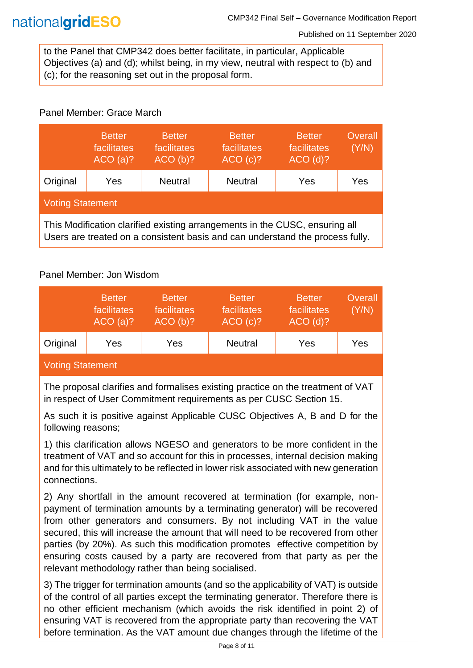Published on 11 September 2020

to the Panel that CMP342 does better facilitate, in particular, Applicable Objectives (a) and (d); whilst being, in my view, neutral with respect to (b) and (c); for the reasoning set out in the proposal form.

### Panel Member: Grace March

|                                                                                                                                                              | <b>Better</b><br>facilitates<br>ACO(a)? | <b>Better</b><br>facilitates<br>ACO(b)? | <b>Better</b><br>facilitates<br>ACO(c)? | <b>Better</b><br>facilitates<br>$ACO$ (d)? | Overall<br>(Y/N) |
|--------------------------------------------------------------------------------------------------------------------------------------------------------------|-----------------------------------------|-----------------------------------------|-----------------------------------------|--------------------------------------------|------------------|
| Original                                                                                                                                                     | Yes                                     | <b>Neutral</b>                          | <b>Neutral</b>                          | Yes                                        | Yes              |
| <b>Voting Statement</b>                                                                                                                                      |                                         |                                         |                                         |                                            |                  |
| This Modification clarified existing arrangements in the CUSC, ensuring all<br>Users are treated on a consistent basis and can understand the process fully. |                                         |                                         |                                         |                                            |                  |

### Panel Member: Jon Wisdom

|                  | <b>Better</b><br>facilitates<br>ACO(a)? | <b>Better</b><br>facilitates<br>ACO(b)? | <b>Better</b><br>facilitates<br>ACO(c)? | <b>Better</b><br>facilitates<br>$ACO$ (d)? | Overall<br>(Y/N) |  |
|------------------|-----------------------------------------|-----------------------------------------|-----------------------------------------|--------------------------------------------|------------------|--|
| Original         | Yes                                     | Yes                                     | <b>Neutral</b>                          | Yes                                        | Yes              |  |
| Voting Statement |                                         |                                         |                                         |                                            |                  |  |

The proposal clarifies and formalises existing practice on the treatment of VAT in respect of User Commitment requirements as per CUSC Section 15.

As such it is positive against Applicable CUSC Objectives A, B and D for the following reasons;

1) this clarification allows NGESO and generators to be more confident in the treatment of VAT and so account for this in processes, internal decision making and for this ultimately to be reflected in lower risk associated with new generation connections.

2) Any shortfall in the amount recovered at termination (for example, nonpayment of termination amounts by a terminating generator) will be recovered from other generators and consumers. By not including VAT in the value secured, this will increase the amount that will need to be recovered from other parties (by 20%). As such this modification promotes effective competition by ensuring costs caused by a party are recovered from that party as per the relevant methodology rather than being socialised.

3) The trigger for termination amounts (and so the applicability of VAT) is outside of the control of all parties except the terminating generator. Therefore there is no other efficient mechanism (which avoids the risk identified in point 2) of ensuring VAT is recovered from the appropriate party than recovering the VAT before termination. As the VAT amount due changes through the lifetime of the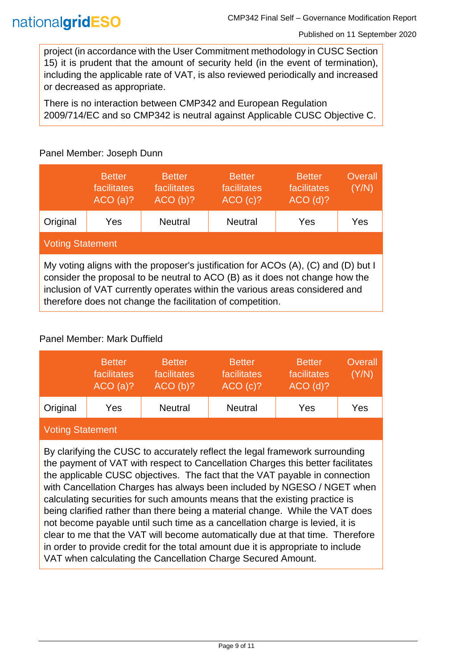project (in accordance with the User Commitment methodology in CUSC Section 15) it is prudent that the amount of security held (in the event of termination), including the applicable rate of VAT, is also reviewed periodically and increased or decreased as appropriate.

There is no interaction between CMP342 and European Regulation 2009/714/EC and so CMP342 is neutral against Applicable CUSC Objective C.

|                                                                                                                                                                                                                                                                                                                 | <b>Better</b><br>facilitates<br>ACO(a)? | <b>Better</b><br>facilitates<br>ACO(b)? | <b>Better</b><br>facilitates<br>ACO(c)? | <b>Better</b><br>facilitates<br>$ACO$ (d)? | Overall<br>(Y/N) |  |
|-----------------------------------------------------------------------------------------------------------------------------------------------------------------------------------------------------------------------------------------------------------------------------------------------------------------|-----------------------------------------|-----------------------------------------|-----------------------------------------|--------------------------------------------|------------------|--|
| Original                                                                                                                                                                                                                                                                                                        | Yes                                     | <b>Neutral</b>                          | <b>Neutral</b>                          | Yes                                        | Yes              |  |
| <b>Voting Statement</b>                                                                                                                                                                                                                                                                                         |                                         |                                         |                                         |                                            |                  |  |
| My voting aligns with the proposer's justification for ACOs (A), (C) and (D) but I<br>consider the proposal to be neutral to ACO (B) as it does not change how the<br>inclusion of VAT currently operates within the various areas considered and<br>therefore does not change the facilitation of competition. |                                         |                                         |                                         |                                            |                  |  |

### Panel Member: Joseph Dunn

### Panel Member: Mark Duffield

|                         | <b>Better</b><br>facilitates<br>ACO(a)? | <b>Better</b><br>facilitates<br>ACO(b)? | <b>Better</b><br>facilitates<br>ACO(c)? | <b>Better</b><br>facilitates<br>$ACO$ (d)? | Overall<br>(Y/N) |  |
|-------------------------|-----------------------------------------|-----------------------------------------|-----------------------------------------|--------------------------------------------|------------------|--|
| Original                | Yes                                     | <b>Neutral</b>                          | <b>Neutral</b>                          | Yes                                        | Yes              |  |
| <b>Voting Statement</b> |                                         |                                         |                                         |                                            |                  |  |

By clarifying the CUSC to accurately reflect the legal framework surrounding the payment of VAT with respect to Cancellation Charges this better facilitates the applicable CUSC objectives. The fact that the VAT payable in connection with Cancellation Charges has always been included by NGESO / NGET when calculating securities for such amounts means that the existing practice is being clarified rather than there being a material change. While the VAT does not become payable until such time as a cancellation charge is levied, it is clear to me that the VAT will become automatically due at that time. Therefore in order to provide credit for the total amount due it is appropriate to include VAT when calculating the Cancellation Charge Secured Amount.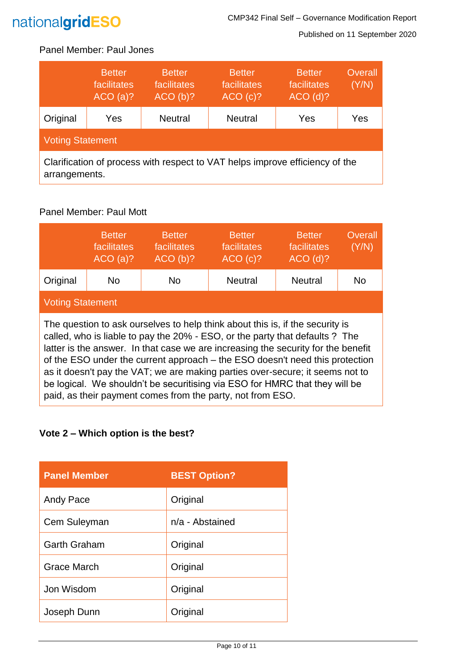

Published on 11 September 2020

### Panel Member: Paul Jones

|                                                                                               | <b>Better</b><br>facilitates<br>ACO(a)? | <b>Better</b><br>facilitates<br>ACO(b)? | <b>Better</b><br>facilitates<br>ACO(c)? | <b>Better</b><br>facilitates<br>$ACO$ (d)? | Overall<br>(Y/N) |
|-----------------------------------------------------------------------------------------------|-----------------------------------------|-----------------------------------------|-----------------------------------------|--------------------------------------------|------------------|
| Original                                                                                      | Yes                                     | <b>Neutral</b>                          | <b>Neutral</b>                          | Yes                                        | Yes              |
| <b>Voting Statement</b>                                                                       |                                         |                                         |                                         |                                            |                  |
| Clarification of process with respect to VAT helps improve efficiency of the<br>arrangements. |                                         |                                         |                                         |                                            |                  |

### Panel Member: Paul Mott

|                                                                                                                                                                                                                                                                                                                                                                                                                                                                                                                                                                  | <b>Better</b><br>facilitates<br>ACO(a)? | <b>Better</b><br>facilitates<br>ACO(b)? | <b>Better</b><br>facilitates<br>ACO(c)? | <b>Better</b><br>facilitates<br>$ACO$ (d)? | Overall<br>(Y/N) |
|------------------------------------------------------------------------------------------------------------------------------------------------------------------------------------------------------------------------------------------------------------------------------------------------------------------------------------------------------------------------------------------------------------------------------------------------------------------------------------------------------------------------------------------------------------------|-----------------------------------------|-----------------------------------------|-----------------------------------------|--------------------------------------------|------------------|
| Original                                                                                                                                                                                                                                                                                                                                                                                                                                                                                                                                                         | No.                                     | No.                                     | <b>Neutral</b>                          | <b>Neutral</b>                             | No               |
| <b>Voting Statement</b>                                                                                                                                                                                                                                                                                                                                                                                                                                                                                                                                          |                                         |                                         |                                         |                                            |                  |
| The question to ask ourselves to help think about this is, if the security is<br>called, who is liable to pay the 20% - ESO, or the party that defaults ? The<br>latter is the answer. In that case we are increasing the security for the benefit<br>of the ESO under the current approach – the ESO doesn't need this protection<br>as it doesn't pay the VAT; we are making parties over-secure; it seems not to<br>be logical. We shouldn't be securitising via ESO for HMRC that they will be<br>paid, as their payment comes from the party, not from ESO. |                                         |                                         |                                         |                                            |                  |

### **Vote 2 – Which option is the best?**

| <b>Panel Member</b> | <b>BEST Option?</b> |
|---------------------|---------------------|
| Andy Pace           | Original            |
| Cem Suleyman        | $n/a$ - Abstained   |
| <b>Garth Graham</b> | Original            |
| <b>Grace March</b>  | Original            |
| Jon Wisdom          | Original            |
| Joseph Dunn         | Original            |